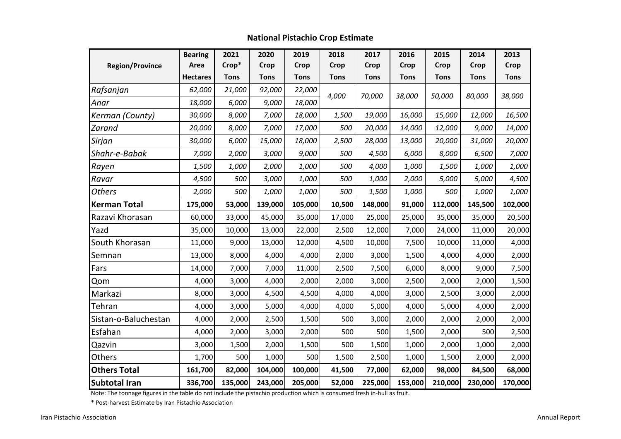### **National Pistachio Crop Estimate**

|                        | <b>Bearing</b>  | 2021        | 2020        | 2019        | 2018        | 2017        | 2016        | 2015        | 2014        | 2013        |
|------------------------|-----------------|-------------|-------------|-------------|-------------|-------------|-------------|-------------|-------------|-------------|
| <b>Region/Province</b> | Area            | Crop*       | Crop        | Crop        | <b>Crop</b> | Crop        | <b>Crop</b> | <b>Crop</b> | <b>Crop</b> | <b>Crop</b> |
|                        | <b>Hectares</b> | <b>Tons</b> | <b>Tons</b> | <b>Tons</b> | <b>Tons</b> | <b>Tons</b> | <b>Tons</b> | <b>Tons</b> | <b>Tons</b> | <b>Tons</b> |
| Rafsanjan              | 62,000          | 21,000      | 92,000      | 22,000      | 4,000       | 70,000      | 38,000      | 50,000      | 80,000      | 38,000      |
| Anar                   | 18,000          | 6,000       | 9,000       | 18,000      |             |             |             |             |             |             |
| Kerman (County)        | 30,000          | 8,000       | 7,000       | 18,000      | 1,500       | 19,000      | 16,000      | 15,000      | 12,000      | 16,500      |
| <b>Zarand</b>          | 20,000          | 8,000       | 7,000       | 17,000      | 500         | 20,000      | 14,000      | 12,000      | 9,000       | 14,000      |
| Sirjan                 | 30,000          | 6,000       | 15,000      | 18,000      | 2,500       | 28,000      | 13,000      | 20,000      | 31,000      | 20,000      |
| Shahr-e-Babak          | 7,000           | 2,000       | 3,000       | 9,000       | 500         | 4,500       | 6,000       | 8,000       | 6,500       | 7,000       |
| Rayen                  | 1,500           | 1,000       | 2,000       | 1,000       | 500         | 4,000       | 1,000       | 1,500       | 1,000       | 1,000       |
| Ravar                  | 4,500           | 500         | 3,000       | 1,000       | 500         | 1,000       | 2,000       | 5,000       | 5,000       | 4,500       |
| <b>Others</b>          | 2,000           | 500         | 1,000       | 1,000       | 500         | 1,500       | 1,000       | 500         | 1,000       | 1,000       |
| <b>Kerman Total</b>    | 175,000         | 53,000      | 139,000     | 105,000     | 10,500      | 148,000     | 91,000      | 112,000     | 145,500     | 102,000     |
| Razavi Khorasan        | 60,000          | 33,000      | 45,000      | 35,000      | 17,000      | 25,000      | 25,000      | 35,000      | 35,000      | 20,500      |
| Yazd                   | 35,000          | 10,000      | 13,000      | 22,000      | 2,500       | 12,000      | 7,000       | 24,000      | 11,000      | 20,000      |
| South Khorasan         | 11,000          | 9,000       | 13,000      | 12,000      | 4,500       | 10,000      | 7,500       | 10,000      | 11,000      | 4,000       |
| Semnan                 | 13,000          | 8,000       | 4,000       | 4,000       | 2,000       | 3,000       | 1,500       | 4,000       | 4,000       | 2,000       |
| Fars                   | 14,000          | 7,000       | 7,000       | 11,000      | 2,500       | 7,500       | 6,000       | 8,000       | 9,000       | 7,500       |
| Qom                    | 4,000           | 3,000       | 4,000       | 2,000       | 2,000       | 3,000       | 2,500       | 2,000       | 2,000       | 1,500       |
| Markazi                | 8,000           | 3,000       | 4,500       | 4,500       | 4,000       | 4,000       | 3,000       | 2,500       | 3,000       | 2,000       |
| Tehran                 | 4,000           | 3,000       | 5,000       | 4,000       | 4,000       | 5,000       | 4,000       | 5,000       | 4,000       | 2,000       |
| Sistan-o-Baluchestan   | 4,000           | 2,000       | 2,500       | 1,500       | 500         | 3,000       | 2,000       | 2,000       | 2,000       | 2,000       |
| Esfahan                | 4,000           | 2,000       | 3,000       | 2,000       | 500         | 500         | 1,500       | 2,000       | 500         | 2,500       |
| Qazvin                 | 3,000           | 1,500       | 2,000       | 1,500       | 500         | 1,500       | 1,000       | 2,000       | 1,000       | 2,000       |
| Others                 | 1,700           | 500         | 1,000       | 500         | 1,500       | 2,500       | 1,000       | 1,500       | 2,000       | 2,000       |
| <b>Others Total</b>    | 161,700         | 82,000      | 104,000     | 100,000     | 41,500      | 77,000      | 62,000      | 98,000      | 84,500      | 68,000      |
| <b>Subtotal Iran</b>   | 336,700         | 135,000     | 243,000     | 205,000     | 52,000      | 225,000     | 153,000     | 210,000     | 230,000     | 170,000     |

Note: The tonnage figures in the table do not include the pistachio production which is consumed fresh in‐hull as fruit.

\* Post‐harvest Estimate by Iran Pistachio Association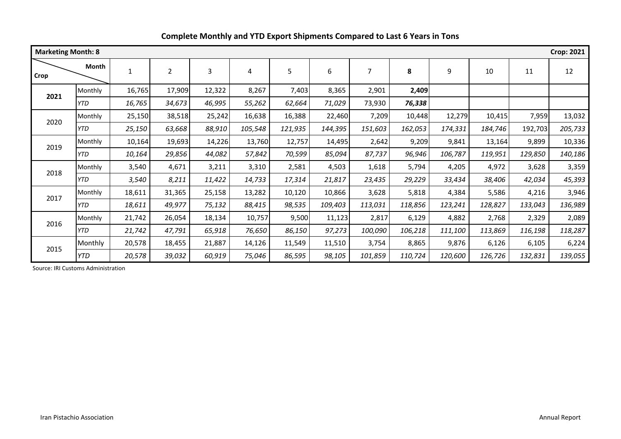| <b>Marketing Month: 8</b> |            |        |                |        |         |         |         |         |         |         |         |         | <b>Crop: 2021</b> |
|---------------------------|------------|--------|----------------|--------|---------|---------|---------|---------|---------|---------|---------|---------|-------------------|
| <b>Crop</b>               | Month      |        | $\overline{2}$ | 3      | 4       | 5       | 6       | 7       | 8       | 9       | 10      | 11      | 12                |
| 2021                      | Monthly    | 16,765 | 17,909         | 12,322 | 8,267   | 7,403   | 8,365   | 2,901   | 2,409   |         |         |         |                   |
|                           | <b>YTD</b> | 16,765 | 34,673         | 46,995 | 55,262  | 62,664  | 71,029  | 73,930  | 76,338  |         |         |         |                   |
| 2020                      | Monthly    | 25,150 | 38,518         | 25,242 | 16,638  | 16,388  | 22,460  | 7,209   | 10,448  | 12,279  | 10,415  | 7,959   | 13,032            |
|                           | <b>YTD</b> | 25,150 | 63,668         | 88,910 | 105,548 | 121,935 | 144,395 | 151,603 | 162,053 | 174,331 | 184,746 | 192,703 | 205,733           |
| 2019                      | Monthly    | 10,164 | 19,693         | 14,226 | 13,760  | 12,757  | 14,495  | 2,642   | 9,209   | 9,841   | 13,164  | 9,899   | 10,336            |
|                           | <b>YTD</b> | 10,164 | 29,856         | 44,082 | 57,842  | 70,599  | 85,094  | 87,737  | 96,946  | 106,787 | 119,951 | 129,850 | 140,186           |
| 2018                      | Monthly    | 3,540  | 4,671          | 3,211  | 3,310   | 2,581   | 4,503   | 1,618   | 5,794   | 4,205   | 4,972   | 3,628   | 3,359             |
|                           | <b>YTD</b> | 3,540  | 8,211          | 11,422 | 14,733  | 17,314  | 21,817  | 23,435  | 29,229  | 33,434  | 38,406  | 42,034  | 45,393            |
| 2017                      | Monthly    | 18,611 | 31,365         | 25,158 | 13,282  | 10,120  | 10,866  | 3,628   | 5,818   | 4,384   | 5,586   | 4,216   | 3,946             |
|                           | <b>YTD</b> | 18,611 | 49,977         | 75,132 | 88,415  | 98,535  | 109,403 | 113,031 | 118,856 | 123,241 | 128,827 | 133,043 | 136,989           |
| 2016                      | Monthly    | 21,742 | 26,054         | 18,134 | 10,757  | 9,500   | 11,123  | 2,817   | 6,129   | 4,882   | 2,768   | 2,329   | 2,089             |
|                           | <b>YTD</b> | 21,742 | 47,791         | 65,918 | 76,650  | 86,150  | 97,273  | 100,090 | 106,218 | 111,100 | 113,869 | 116,198 | 118,287           |
| 2015                      | Monthly    | 20,578 | 18,455         | 21,887 | 14,126  | 11,549  | 11,510  | 3,754   | 8,865   | 9,876   | 6,126   | 6,105   | 6,224             |
|                           | <b>YTD</b> | 20,578 | 39,032         | 60,919 | 75,046  | 86,595  | 98,105  | 101,859 | 110,724 | 120,600 | 126,726 | 132,831 | 139,055           |

# **Complete Monthly and YTD Export Shipments Compared to Last 6 Years in Tons**

Source: IRI Customs Administration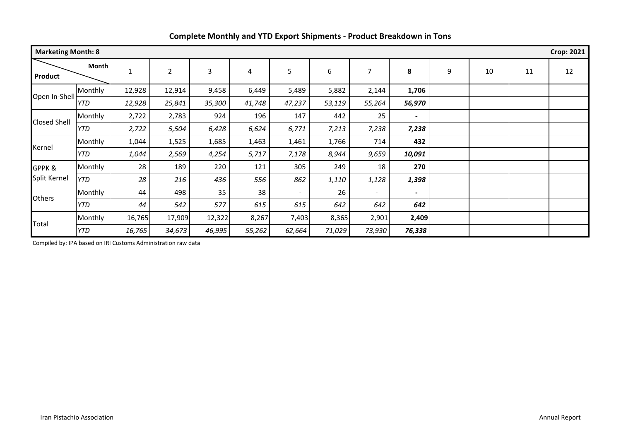| <b>Marketing Month: 8</b> |              |        |                |        |        |        |        |        |                          |   |    |    | <b>Crop: 2021</b> |
|---------------------------|--------------|--------|----------------|--------|--------|--------|--------|--------|--------------------------|---|----|----|-------------------|
| Product                   | <b>Month</b> | 1      | $\overline{2}$ | 3      | 4      | 5      | 6      | 7      | 8                        | 9 | 10 | 11 | 12                |
|                           | Monthly      | 12,928 | 12,914         | 9,458  | 6,449  | 5,489  | 5,882  | 2,144  | 1,706                    |   |    |    |                   |
| Open In-Shell             | <b>YTD</b>   | 12,928 | 25,841         | 35,300 | 41,748 | 47,237 | 53,119 | 55,264 | 56,970                   |   |    |    |                   |
| <b>Closed Shell</b>       | Monthly      | 2,722  | 2,783          | 924    | 196    | 147    | 442    | 25     | $\overline{\phantom{a}}$ |   |    |    |                   |
|                           | <b>YTD</b>   | 2,722  | 5,504          | 6,428  | 6,624  | 6,771  | 7,213  | 7,238  | 7,238                    |   |    |    |                   |
| Kernel                    | Monthly      | 1,044  | 1,525          | 1,685  | 1,463  | 1,461  | 1,766  | 714    | 432                      |   |    |    |                   |
|                           | <b>YTD</b>   | 1,044  | 2,569          | 4,254  | 5,717  | 7,178  | 8,944  | 9,659  | 10,091                   |   |    |    |                   |
| GPPK &                    | Monthly      | 28     | 189            | 220    | 121    | 305    | 249    | 18     | 270                      |   |    |    |                   |
| Split Kernel              | <b>YTD</b>   | 28     | 216            | 436    | 556    | 862    | 1,110  | 1,128  | 1,398                    |   |    |    |                   |
|                           | Monthly      | 44     | 498            | 35     | 38     | $\sim$ | 26     | $\sim$ | $\overline{\phantom{a}}$ |   |    |    |                   |
| <b>Others</b>             | <b>YTD</b>   | 44     | 542            | 577    | 615    | 615    | 642    | 642    | 642                      |   |    |    |                   |
|                           | Monthly      | 16,765 | 17,909         | 12,322 | 8,267  | 7,403  | 8,365  | 2,901  | 2,409                    |   |    |    |                   |
| Total                     | <b>YTD</b>   | 16,765 | 34,673         | 46,995 | 55,262 | 62,664 | 71,029 | 73,930 | 76,338                   |   |    |    |                   |

#### **Complete Monthly and YTD Export Shipments ‐ Product Breakdown in Tons**

Compiled by: IPA based on IRI Customs Administration raw data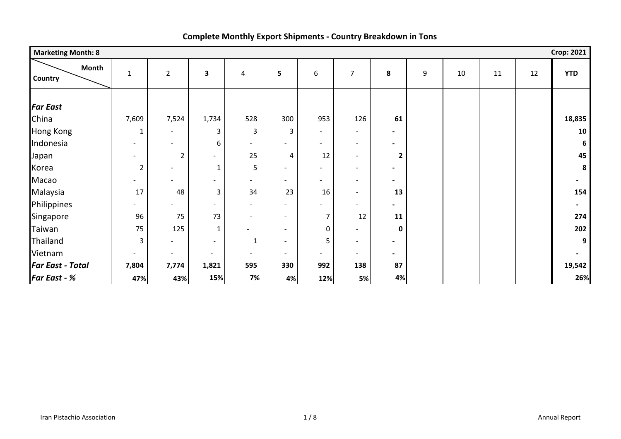| <b>Marketing Month: 8</b> |                          |                          |                          |                              |                          |                          |                          |                |   |    |    |    | <b>Crop: 2021</b> |
|---------------------------|--------------------------|--------------------------|--------------------------|------------------------------|--------------------------|--------------------------|--------------------------|----------------|---|----|----|----|-------------------|
| <b>Month</b><br>Country   | $\mathbf{1}$             | $\overline{2}$           | $\overline{\mathbf{3}}$  | $\overline{4}$               | 5                        | $\boldsymbol{6}$         | $\overline{7}$           | 8              | 9 | 10 | 11 | 12 | <b>YTD</b>        |
| <b>Far East</b>           |                          |                          |                          |                              |                          |                          |                          |                |   |    |    |    |                   |
| China                     | 7,609                    | 7,524                    | 1,734                    | 528                          | 300                      | 953                      | 126                      | 61             |   |    |    |    | 18,835            |
| <b>Hong Kong</b>          | 1                        | $\blacksquare$           | $\overline{3}$           | 3                            | 3                        | $\sim$                   | $\blacksquare$           | ٠              |   |    |    |    | 10                |
| Indonesia                 | $\sim$                   |                          | 6                        | $\overline{\phantom{0}}$     | $\overline{\phantom{a}}$ | $\overline{\phantom{0}}$ | $\overline{\phantom{a}}$ | $\blacksquare$ |   |    |    |    | 6                 |
| Japan                     | $\overline{\phantom{a}}$ | $\overline{2}$           | $\blacksquare$           | 25                           | 4                        | 12                       | $\overline{\phantom{a}}$ | $\mathbf{2}$   |   |    |    |    | 45                |
| Korea                     | $\overline{2}$           |                          | $\mathbf{1}$             | 5                            | $\overline{\phantom{a}}$ |                          | $\overline{\phantom{a}}$ |                |   |    |    |    | 8                 |
| Macao                     |                          |                          | $\blacksquare$           | $\overline{\phantom{m}}$     | $\overline{a}$           | $\overline{\phantom{a}}$ | $\overline{\phantom{a}}$ | ٠              |   |    |    |    |                   |
| Malaysia                  | 17                       | 48                       | $\overline{3}$           | 34                           | 23                       | 16                       | $\overline{\phantom{a}}$ | 13             |   |    |    |    | 154               |
| Philippines               | $\blacksquare$           |                          | $\overline{\phantom{a}}$ | $\qquad \qquad \blacksquare$ | $\overline{\phantom{a}}$ |                          | $\overline{\phantom{a}}$ | $\blacksquare$ |   |    |    |    |                   |
| Singapore                 | 96                       | 75                       | 73                       | $\overline{\phantom{a}}$     | $\overline{\phantom{a}}$ | 7                        | 12                       | 11             |   |    |    |    | 274               |
| Taiwan                    | 75                       | 125                      | $\mathbf{1}$             |                              | $\overline{\phantom{a}}$ | 0                        | $\overline{\phantom{a}}$ | $\mathbf 0$    |   |    |    |    | 202               |
| Thailand                  | 3                        |                          | $\blacksquare$           | $\mathbf{1}$                 | $\sim$                   | 5                        | $\blacksquare$           | $\blacksquare$ |   |    |    |    | 9                 |
| Vietnam                   |                          | $\overline{\phantom{a}}$ | $\overline{\phantom{a}}$ | $\overline{\phantom{0}}$     | $\blacksquare$           | $\overline{\phantom{a}}$ | $\overline{\phantom{a}}$ | ٠              |   |    |    |    |                   |
| <b>Far East - Total</b>   | 7,804                    | 7,774                    | 1,821                    | 595                          | 330                      | 992                      | 138                      | 87             |   |    |    |    | 19,542            |
| <b>Far East - %</b>       | 47%                      | 43%                      | 15%                      | 7%                           | 4%                       | 12%                      | 5%                       | 4%             |   |    |    |    | 26%               |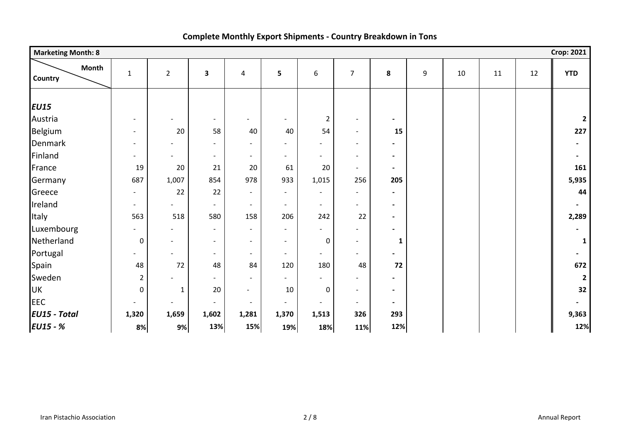| <b>Marketing Month: 8</b> |                          |                          |                          |                          |                          |                          |                          |                              |   |    |    |    | <b>Crop: 2021</b> |
|---------------------------|--------------------------|--------------------------|--------------------------|--------------------------|--------------------------|--------------------------|--------------------------|------------------------------|---|----|----|----|-------------------|
| <b>Month</b><br>Country   | $\mathbf{1}$             | $\overline{2}$           | $\overline{\mathbf{3}}$  | $\overline{4}$           | 5                        | $\,6\,$                  | $\overline{7}$           | 8                            | 9 | 10 | 11 | 12 | <b>YTD</b>        |
| <b>EU15</b>               |                          |                          |                          |                          |                          |                          |                          |                              |   |    |    |    |                   |
| Austria                   | $\overline{\phantom{a}}$ | $\blacksquare$           | $\overline{\phantom{a}}$ | $\overline{\phantom{a}}$ | $\blacksquare$           | $\overline{2}$           | $\overline{\phantom{a}}$ | $\blacksquare$               |   |    |    |    | $\overline{2}$    |
| Belgium                   | $\overline{\phantom{a}}$ | 20                       | 58                       | 40                       | 40                       | 54                       | $\overline{\phantom{a}}$ | 15                           |   |    |    |    | 227               |
| Denmark                   | $\sim$                   |                          | $\sim$                   | $\overline{\phantom{a}}$ | $\blacksquare$           |                          | $\overline{\phantom{a}}$ | $\qquad \qquad \blacksquare$ |   |    |    |    |                   |
| Finland                   | $\overline{\phantom{a}}$ | $\overline{\phantom{a}}$ | $\overline{\phantom{a}}$ | $\overline{\phantom{a}}$ | $\sim$                   | $\overline{\phantom{a}}$ | $\overline{\phantom{a}}$ | $\blacksquare$               |   |    |    |    |                   |
| France                    | 19                       | 20                       | 21                       | 20                       | 61                       | 20                       | $\overline{\phantom{a}}$ | $\blacksquare$               |   |    |    |    | 161               |
| Germany                   | 687                      | 1,007                    | 854                      | 978                      | 933                      | 1,015                    | 256                      | 205                          |   |    |    |    | 5,935             |
| Greece                    | $\blacksquare$           | 22                       | 22                       | $\overline{\phantom{a}}$ | $\sim$                   |                          | $\overline{\phantom{a}}$ | $\blacksquare$               |   |    |    |    | 44                |
| Ireland                   | $\sim$                   |                          | $\blacksquare$           | $\overline{\phantom{0}}$ | $\sim$                   | $\blacksquare$           | $\overline{\phantom{a}}$ | $\blacksquare$               |   |    |    |    |                   |
| Italy                     | 563                      | 518                      | 580                      | 158                      | 206                      | 242                      | 22                       | $\blacksquare$               |   |    |    |    | 2,289             |
| Luxembourg                |                          |                          | $\overline{\phantom{a}}$ | $\overline{\phantom{a}}$ | $\blacksquare$           | $\overline{\phantom{a}}$ | $\overline{\phantom{a}}$ | $\overline{\phantom{0}}$     |   |    |    |    |                   |
| Netherland                | $\mathbf 0$              | $\overline{\phantom{0}}$ | $\overline{\phantom{a}}$ | $\overline{\phantom{a}}$ | $\blacksquare$           | 0                        | $\overline{\phantom{a}}$ | $\mathbf{1}$                 |   |    |    |    | 1                 |
| Portugal                  | $\blacksquare$           |                          | $\overline{\phantom{a}}$ | $\overline{\phantom{a}}$ | $\blacksquare$           | $\blacksquare$           | $\overline{\phantom{a}}$ | $\overline{\phantom{0}}$     |   |    |    |    |                   |
| Spain                     | 48                       | 72                       | 48                       | 84                       | 120                      | 180                      | 48                       | 72                           |   |    |    |    | 672               |
| Sweden                    | $\overline{2}$           |                          | $\overline{\phantom{a}}$ | $\blacksquare$           | $\sim$                   | $\overline{\phantom{a}}$ | $\overline{\phantom{a}}$ | $\blacksquare$               |   |    |    |    | $\overline{2}$    |
| UK                        | $\pmb{0}$                | $\mathbf{1}$             | 20                       | $\overline{\phantom{a}}$ | 10                       | $\mathsf 0$              | $\overline{\phantom{a}}$ | $\blacksquare$               |   |    |    |    | 32                |
| <b>EEC</b>                |                          |                          |                          |                          | $\overline{\phantom{a}}$ |                          | $\overline{\phantom{a}}$ | $\blacksquare$               |   |    |    |    |                   |
| <b>EU15 - Total</b>       | 1,320                    | 1,659                    | 1,602                    | 1,281                    | 1,370                    | 1,513                    | 326                      | 293                          |   |    |    |    | 9,363             |
| $EU15 - %$                | 8%                       | 9%                       | 13%                      | 15%                      | 19%                      | 18%                      | 11%                      | 12%                          |   |    |    |    | 12%               |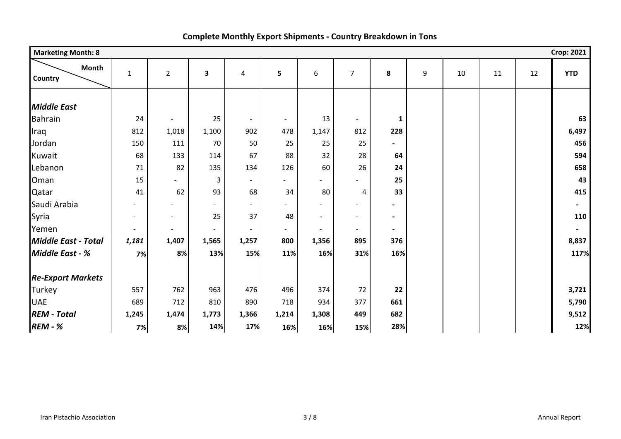| <b>Marketing Month: 8</b>  |                          |                          |                          |                          |                          |                          |                          |                |   |    |    |    | <b>Crop: 2021</b> |
|----------------------------|--------------------------|--------------------------|--------------------------|--------------------------|--------------------------|--------------------------|--------------------------|----------------|---|----|----|----|-------------------|
| Month<br>Country           | $\mathbf{1}$             | $\overline{2}$           | $\overline{\mathbf{3}}$  | 4                        | 5                        | 6                        | $\overline{7}$           | 8              | 9 | 10 | 11 | 12 | <b>YTD</b>        |
| <b>Middle East</b>         |                          |                          |                          |                          |                          |                          |                          |                |   |    |    |    |                   |
| <b>Bahrain</b>             | 24                       | $\sim$                   | 25                       | $\overline{\phantom{a}}$ | $\blacksquare$           | 13                       | $\overline{\phantom{a}}$ | $\mathbf{1}$   |   |    |    |    | 63                |
| Iraq                       | 812                      | 1,018                    | 1,100                    | 902                      | 478                      | 1,147                    | 812                      | 228            |   |    |    |    | 6,497             |
| Jordan                     | 150                      | 111                      | 70                       | 50                       | 25                       | 25                       | 25                       | $\blacksquare$ |   |    |    |    | 456               |
| Kuwait                     | 68                       | 133                      | 114                      | 67                       | 88                       | 32                       | 28                       | 64             |   |    |    |    | 594               |
| Lebanon                    | 71                       | 82                       | 135                      | 134                      | 126                      | 60                       | 26                       | 24             |   |    |    |    | 658               |
| Oman                       | 15                       | $\overline{\phantom{0}}$ | $\overline{3}$           | $\blacksquare$           | $\overline{\phantom{0}}$ | $\overline{\phantom{a}}$ | $\sim$                   | 25             |   |    |    |    | 43                |
| Qatar                      | 41                       | 62                       | 93                       | 68                       | 34                       | 80                       | 4                        | 33             |   |    |    |    | 415               |
| Saudi Arabia               | $\overline{\phantom{0}}$ |                          | $\overline{\phantom{a}}$ | $\blacksquare$           | $\overline{a}$           | $\blacksquare$           | $\overline{\phantom{a}}$ | $\blacksquare$ |   |    |    |    |                   |
| Syria                      | $\blacksquare$           | $\overline{\phantom{0}}$ | 25                       | 37                       | 48                       | $\overline{\phantom{a}}$ | $\overline{\phantom{a}}$ | $\blacksquare$ |   |    |    |    | 110               |
| Yemen                      | $\blacksquare$           |                          | $\blacksquare$           |                          | $\overline{\phantom{a}}$ | $\overline{\phantom{a}}$ | $\overline{\phantom{a}}$ | $\blacksquare$ |   |    |    |    |                   |
| <b>Middle East - Total</b> | 1,181                    | 1,407                    | 1,565                    | 1,257                    | 800                      | 1,356                    | 895                      | 376            |   |    |    |    | 8,837             |
| Middle East - %            | 7%                       | 8%                       | 13%                      | 15%                      | 11%                      | 16%                      | 31%                      | 16%            |   |    |    |    | 117%              |
| <b>Re-Export Markets</b>   |                          |                          |                          |                          |                          |                          |                          |                |   |    |    |    |                   |
| Turkey                     | 557                      | 762                      | 963                      | 476                      | 496                      | 374                      | 72                       | 22             |   |    |    |    | 3,721             |
| <b>UAE</b>                 | 689                      | 712                      | 810                      | 890                      | 718                      | 934                      | 377                      | 661            |   |    |    |    | 5,790             |
| <b>REM - Total</b>         | 1,245                    | 1,474                    | 1,773                    | 1,366                    | 1,214                    | 1,308                    | 449                      | 682            |   |    |    |    | 9,512             |
| <b>REM - %</b>             | 7%                       | 8%                       | 14%                      | 17%                      | 16%                      | 16%                      | 15%                      | 28%            |   |    |    |    | 12%               |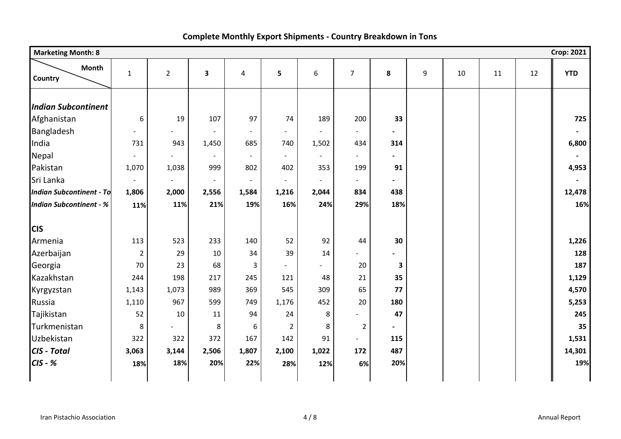| <b>Marketing Month: 8</b>       |                          |                          |                         |                          |                          |                          |                          |                |   |    |    |    | <b>Crop: 2021</b> |
|---------------------------------|--------------------------|--------------------------|-------------------------|--------------------------|--------------------------|--------------------------|--------------------------|----------------|---|----|----|----|-------------------|
| Month<br>Country                | $\mathbf{1}$             | $\overline{2}$           | $\overline{\mathbf{3}}$ | $\overline{\mathbf{4}}$  | 5                        | 6                        | $\overline{7}$           | 8              | 9 | 10 | 11 | 12 | <b>YTD</b>        |
| <b>Indian Subcontinent</b>      |                          |                          |                         |                          |                          |                          |                          |                |   |    |    |    |                   |
| Afghanistan                     | 6                        | 19                       | 107                     | 97                       | 74                       | 189                      | 200                      | 33             |   |    |    |    | 725               |
| Bangladesh                      | $\sim$                   | $\blacksquare$           |                         | $\blacksquare$           | $\overline{\phantom{a}}$ | $\sim$                   | $\overline{\phantom{0}}$ | $\blacksquare$ |   |    |    |    |                   |
| India                           | 731                      | 943                      | 1,450                   | 685                      | 740                      | 1,502                    | 434                      | 314            |   |    |    |    | 6,800             |
| <b>Nepal</b>                    | $\overline{\phantom{a}}$ | $\overline{\phantom{a}}$ |                         | $\overline{\phantom{a}}$ | $\sim$                   | $\overline{\phantom{0}}$ | $\blacksquare$           | $\sim$         |   |    |    |    |                   |
| Pakistan                        | 1,070                    | 1,038                    | 999                     | 802                      | 402                      | 353                      | 199                      | 91             |   |    |    |    | 4,953             |
| Sri Lanka                       | $\sim$                   |                          |                         | $\sim$                   | $\overline{\phantom{a}}$ |                          | $\overline{\phantom{0}}$ |                |   |    |    |    |                   |
| <b>Indian Subcontinent - To</b> | 1,806                    | 2,000                    | 2,556                   | 1,584                    | 1,216                    | 2,044                    | 834                      | 438            |   |    |    |    | 12,478            |
| <b>Indian Subcontinent - %</b>  | 11%                      | 11%                      | 21%                     | 19%                      | 16%                      | 24%                      | 29%                      | 18%            |   |    |    |    | 16%               |
|                                 |                          |                          |                         |                          |                          |                          |                          |                |   |    |    |    |                   |
| <b>CIS</b>                      |                          |                          |                         |                          |                          |                          |                          |                |   |    |    |    |                   |
| Armenia                         | 113                      | 523                      | 233                     | 140                      | 52                       | 92                       | 44                       | 30             |   |    |    |    | 1,226             |
| Azerbaijan                      | $\overline{2}$           | 29                       | 10                      | 34                       | 39                       | 14                       | $\sim$                   | $\blacksquare$ |   |    |    |    | 128               |
| Georgia                         | 70                       | 23                       | 68                      | 3                        | $\overline{a}$           | $\overline{\phantom{0}}$ | 20                       | $\mathbf{3}$   |   |    |    |    | 187               |
| Kazakhstan                      | 244                      | 198                      | 217                     | 245                      | 121                      | 48                       | 21                       | 35             |   |    |    |    | 1,129             |
| Kyrgyzstan                      | 1,143                    | 1,073                    | 989                     | 369                      | 545                      | 309                      | 65                       | 77             |   |    |    |    | 4,570             |
| Russia                          | 1,110                    | 967                      | 599                     | 749                      | 1,176                    | 452                      | 20                       | 180            |   |    |    |    | 5,253             |
| Tajikistan                      | 52                       | 10                       | 11                      | 94                       | 24                       | 8                        | $\overline{\phantom{0}}$ | 47             |   |    |    |    | 245               |
| Turkmenistan                    | 8                        | $\overline{a}$           | 8                       | 6                        | $\overline{2}$           | 8                        | $\overline{2}$           | $\blacksquare$ |   |    |    |    | 35                |
| Uzbekistan                      | 322                      | 322                      | 372                     | 167                      | 142                      | 91                       | $\overline{\phantom{0}}$ | 115            |   |    |    |    | 1,531             |
| <b>CIS - Total</b>              | 3,063                    | 3,144                    | 2,506                   | 1,807                    | 2,100                    | 1,022                    | 172                      | 487            |   |    |    |    | 14,301            |
| $CIS - K$                       | 18%                      | 18%                      | 20%                     | 22%                      | 28%                      | 12%                      | 6%                       | 20%            |   |    |    |    | 19%               |
|                                 |                          |                          |                         |                          |                          |                          |                          |                |   |    |    |    |                   |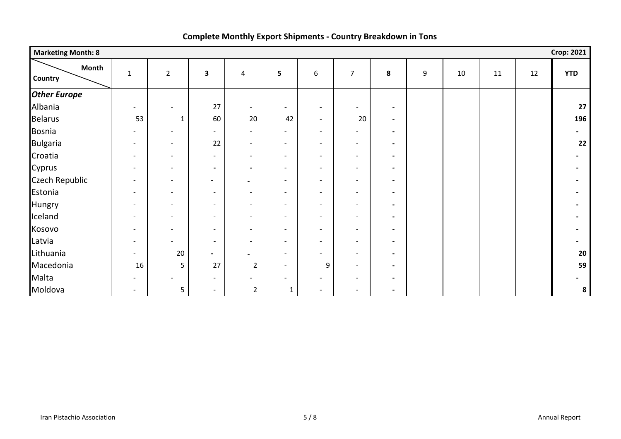| <b>Marketing Month: 8</b> |                          |                          |                          |                              |                          |                          |                          |                |   |    |    |    | <b>Crop: 2021</b> |
|---------------------------|--------------------------|--------------------------|--------------------------|------------------------------|--------------------------|--------------------------|--------------------------|----------------|---|----|----|----|-------------------|
| <b>Month</b><br>Country   | $\mathbf{1}$             | $\overline{2}$           | $\overline{\mathbf{3}}$  | $\overline{4}$               | 5                        | 6                        | $\overline{7}$           | ${\bf 8}$      | 9 | 10 | 11 | 12 | <b>YTD</b>        |
| <b>Other Europe</b>       |                          |                          |                          |                              |                          |                          |                          |                |   |    |    |    |                   |
| Albania                   | $\blacksquare$           | $\overline{\phantom{a}}$ | 27                       | $\overline{\phantom{a}}$     | $\sim$                   |                          | $\overline{\phantom{a}}$ | $\blacksquare$ |   |    |    |    | 27                |
| <b>Belarus</b>            | 53                       | $\mathbf{1}$             | 60                       | 20                           | 42                       | $\sim$                   | 20                       | $\blacksquare$ |   |    |    |    | 196               |
| <b>Bosnia</b>             | $\blacksquare$           | $\overline{\phantom{0}}$ | $\blacksquare$           | $\overline{\phantom{a}}$     | $\sim$                   | $\overline{\phantom{a}}$ | $\overline{\phantom{a}}$ | $\blacksquare$ |   |    |    |    |                   |
| <b>Bulgaria</b>           | $\sim$                   | $\blacksquare$           | 22                       | $\overline{\phantom{a}}$     | $\sim$                   | $\overline{\phantom{a}}$ | $\overline{\phantom{a}}$ | $\blacksquare$ |   |    |    |    | 22                |
| Croatia                   | $\sim$                   | $\blacksquare$           | $\sim$                   | $\overline{\phantom{a}}$     | $\overline{\phantom{a}}$ | $\sim$                   | $\overline{\phantom{a}}$ | $\blacksquare$ |   |    |    |    |                   |
| Cyprus                    | $\sim$                   | $\overline{\phantom{a}}$ | $\blacksquare$           | $\blacksquare$               | $\overline{\phantom{a}}$ | $\overline{\phantom{a}}$ | $\overline{\phantom{a}}$ | $\blacksquare$ |   |    |    |    |                   |
| <b>Czech Republic</b>     | $\overline{\phantom{a}}$ | $\overline{\phantom{a}}$ | $\blacksquare$           | $\overline{\phantom{a}}$     | $\blacksquare$           | $\overline{\phantom{a}}$ | $\overline{\phantom{a}}$ | $\blacksquare$ |   |    |    |    |                   |
| Estonia                   | $\sim$                   | $\blacksquare$           | $\overline{\phantom{a}}$ | $\overline{\phantom{a}}$     | $\sim$                   | $\overline{\phantom{0}}$ | $\overline{\phantom{a}}$ | $\blacksquare$ |   |    |    |    |                   |
| Hungry                    | $\sim$                   | $\overline{\phantom{a}}$ | $\overline{\phantom{a}}$ | $\overline{\phantom{a}}$     | $\overline{\phantom{a}}$ | $\overline{\phantom{a}}$ | $\overline{\phantom{a}}$ | $\blacksquare$ |   |    |    |    |                   |
| Iceland                   | $\blacksquare$           | $\overline{\phantom{0}}$ | $\overline{\phantom{a}}$ | $\overline{\phantom{a}}$     | $\overline{\phantom{a}}$ | $\overline{\phantom{0}}$ | $\overline{\phantom{a}}$ | $\blacksquare$ |   |    |    |    |                   |
| Kosovo                    | $\sim$                   | $\overline{\phantom{a}}$ | $\overline{\phantom{a}}$ | $\overline{\phantom{a}}$     | $\overline{\phantom{a}}$ | $\overline{\phantom{a}}$ | $\overline{\phantom{a}}$ | $\blacksquare$ |   |    |    |    |                   |
| Latvia                    | $\overline{\phantom{a}}$ | $\overline{\phantom{0}}$ | $\overline{\phantom{a}}$ | $\overline{\phantom{a}}$     | $\blacksquare$           | $\overline{\phantom{a}}$ | $\overline{\phantom{a}}$ | $\blacksquare$ |   |    |    |    |                   |
| Lithuania                 | $\sim$                   | 20                       | $\blacksquare$           |                              | $\blacksquare$           | $\overline{\phantom{a}}$ | $\overline{\phantom{a}}$ | $\blacksquare$ |   |    |    |    | 20                |
| Macedonia                 | 16                       | 5                        | 27                       | $\overline{2}$               | $\overline{\phantom{a}}$ | 9                        | $\overline{\phantom{a}}$ | $\blacksquare$ |   |    |    |    | 59                |
| Malta                     |                          |                          | $\overline{\phantom{a}}$ | $\qquad \qquad \blacksquare$ | $\blacksquare$           |                          | $\overline{\phantom{a}}$ | $\blacksquare$ |   |    |    |    |                   |
| Moldova                   | $\blacksquare$           | 5                        | $\blacksquare$           | $\overline{2}$               | $\mathbf{1}$             |                          | $\overline{\phantom{a}}$ | $\blacksquare$ |   |    |    |    | ${\bf 8}$         |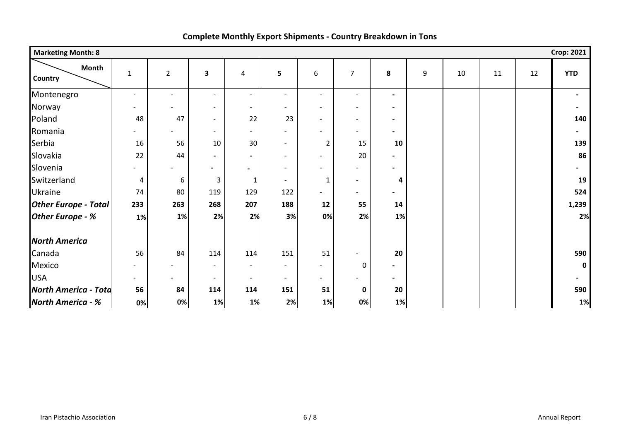| <b>Marketing Month: 8</b>   |                          |                |                          |                          |                          |                          |                          |                              |   |    |    |    | <b>Crop: 2021</b> |
|-----------------------------|--------------------------|----------------|--------------------------|--------------------------|--------------------------|--------------------------|--------------------------|------------------------------|---|----|----|----|-------------------|
| <b>Month</b><br>Country     | $\mathbf{1}$             | $\overline{2}$ | $\overline{\mathbf{3}}$  | 4                        | 5                        | 6                        | $\overline{7}$           | 8                            | 9 | 10 | 11 | 12 | <b>YTD</b>        |
| Montenegro                  | $\blacksquare$           |                | $\overline{\phantom{a}}$ | $\blacksquare$           | $\blacksquare$           |                          | $\blacksquare$           | $\qquad \qquad \blacksquare$ |   |    |    |    |                   |
| Norway                      | $\sim$                   |                | $\overline{\phantom{a}}$ | $\overline{\phantom{a}}$ | $\sim$                   | $\overline{\phantom{a}}$ | $\overline{\phantom{a}}$ | $\blacksquare$               |   |    |    |    |                   |
| Poland                      | 48                       | 47             | $\overline{\phantom{a}}$ | 22                       | 23                       | $\overline{\phantom{a}}$ | $\overline{\phantom{a}}$ | $\blacksquare$               |   |    |    |    | 140               |
| Romania                     | $\blacksquare$           |                | $\overline{\phantom{a}}$ | $\overline{\phantom{0}}$ | $\overline{\phantom{a}}$ |                          | $\overline{\phantom{a}}$ | Ξ.                           |   |    |    |    |                   |
| Serbia                      | 16                       | 56             | 10                       | 30                       | $\overline{\phantom{a}}$ | $\overline{2}$           | 15                       | 10                           |   |    |    |    | 139               |
| Slovakia                    | 22                       | 44             | $\blacksquare$           | $\overline{\phantom{a}}$ | $\overline{\phantom{a}}$ |                          | 20                       | $\overline{\phantom{0}}$     |   |    |    |    | 86                |
| Slovenia                    | $\overline{\phantom{a}}$ |                | $\blacksquare$           | $\overline{a}$           | $\overline{\phantom{a}}$ | $\overline{\phantom{a}}$ | $\overline{\phantom{a}}$ | Ξ.                           |   |    |    |    |                   |
| Switzerland                 | 4                        | 6              | 3                        | $\mathbf 1$              | $\overline{\phantom{a}}$ | 1                        | $\overline{\phantom{a}}$ | 4                            |   |    |    |    | 19                |
| Ukraine                     | 74                       | 80             | 119                      | 129                      | 122                      |                          | $\overline{\phantom{a}}$ | $\blacksquare$               |   |    |    |    | 524               |
| <b>Other Europe - Total</b> | 233                      | 263            | 268                      | 207                      | 188                      | 12                       | 55                       | 14                           |   |    |    |    | 1,239             |
| <b>Other Europe - %</b>     | 1%                       | 1%             | 2%                       | 2%                       | 3%                       | 0%                       | 2%                       | 1%                           |   |    |    |    | 2%                |
| <b>North America</b>        |                          |                |                          |                          |                          |                          |                          |                              |   |    |    |    |                   |
| Canada                      | 56                       | 84             | 114                      | 114                      | 151                      | 51                       | $\overline{\phantom{a}}$ | 20                           |   |    |    |    | 590               |
| Mexico                      | $\blacksquare$           |                | $\overline{\phantom{a}}$ | $\sim$                   | $\sim$                   |                          | 0                        | Ξ.                           |   |    |    |    | $\mathbf 0$       |
| <b>USA</b>                  | $\sim$                   |                | $\overline{\phantom{a}}$ | $\overline{\phantom{a}}$ | $\overline{\phantom{a}}$ | $\sim$                   | $\overline{\phantom{a}}$ | $\blacksquare$               |   |    |    |    |                   |
| <b>North America - Tota</b> | 56                       | 84             | 114                      | 114                      | 151                      | 51                       | $\mathbf 0$              | 20                           |   |    |    |    | 590               |
| <b>North America - %</b>    | 0%                       | 0%             | 1%                       | <b>1%</b>                | 2%                       | $1\%$                    | 0%                       | $1\%$                        |   |    |    |    | 1%                |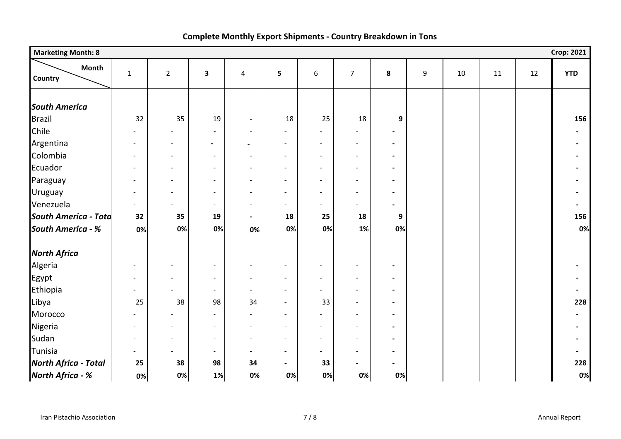| <b>Marketing Month: 8</b>   |                          |                          |                          |                          |                          |                          |                          |                              |   |    |    |    | <b>Crop: 2021</b> |
|-----------------------------|--------------------------|--------------------------|--------------------------|--------------------------|--------------------------|--------------------------|--------------------------|------------------------------|---|----|----|----|-------------------|
| Month<br>Country            | $\mathbf 1$              | $\overline{2}$           | $\overline{\mathbf{3}}$  | $\overline{4}$           | 5                        | 6                        | $\overline{7}$           | 8                            | 9 | 10 | 11 | 12 | <b>YTD</b>        |
| <b>South America</b>        |                          |                          |                          |                          |                          |                          |                          |                              |   |    |    |    |                   |
| <b>Brazil</b>               | 32                       | 35                       | 19                       |                          | 18                       | 25                       | 18                       | $\boldsymbol{9}$             |   |    |    |    | 156               |
|                             |                          |                          |                          | $\blacksquare$           |                          |                          |                          |                              |   |    |    |    |                   |
| Chile                       |                          |                          | $\blacksquare$           | $\overline{\phantom{a}}$ | $\blacksquare$           |                          | $\overline{\phantom{a}}$ | $\overline{\phantom{0}}$     |   |    |    |    |                   |
| Argentina                   | $\overline{\phantom{a}}$ | $\overline{\phantom{a}}$ | $\blacksquare$           | $\overline{\phantom{a}}$ | $\overline{\phantom{a}}$ |                          | $\overline{\phantom{a}}$ | $\qquad \qquad \blacksquare$ |   |    |    |    |                   |
| Colombia                    | $\overline{\phantom{a}}$ | $\overline{a}$           | $\blacksquare$           | $\overline{\phantom{a}}$ | $\overline{\phantom{a}}$ | $\blacksquare$           | $\overline{\phantom{a}}$ | $\blacksquare$               |   |    |    |    |                   |
| Ecuador                     | $\overline{\phantom{0}}$ | $\overline{\phantom{0}}$ | $\blacksquare$           | $\blacksquare$           | $\overline{\phantom{a}}$ | $\overline{\phantom{0}}$ | $\overline{\phantom{a}}$ | $\blacksquare$               |   |    |    |    |                   |
| Paraguay                    | $\overline{\phantom{a}}$ |                          | $\overline{\phantom{a}}$ | $\overline{\phantom{a}}$ | $\overline{\phantom{a}}$ | $\overline{\phantom{a}}$ | $\overline{\phantom{a}}$ | $\overline{\phantom{0}}$     |   |    |    |    |                   |
| Uruguay                     | $\sim$                   | $\blacksquare$           | $\sim$                   | $\overline{\phantom{a}}$ | $\blacksquare$           | $\overline{\phantom{a}}$ | $\overline{\phantom{a}}$ | $\blacksquare$               |   |    |    |    |                   |
| Venezuela                   | $\blacksquare$           |                          | $\overline{\phantom{a}}$ | $\blacksquare$           | $\blacksquare$           | $\sim$                   | $\blacksquare$           | $\frac{1}{2}$                |   |    |    |    |                   |
| South America - Tota        | 32                       | 35                       | 19                       | $\overline{\phantom{a}}$ | 18                       | 25                       | 18                       | $\boldsymbol{9}$             |   |    |    |    | 156               |
| <b>South America - %</b>    | 0%                       | 0%                       | 0%                       | 0%                       | 0%                       | 0%                       | 1%                       | 0%                           |   |    |    |    | 0%                |
| <b>North Africa</b>         |                          |                          |                          |                          |                          |                          |                          |                              |   |    |    |    |                   |
| Algeria                     | $\overline{\phantom{a}}$ |                          | $\overline{\phantom{a}}$ | $\overline{\phantom{a}}$ | $\overline{\phantom{0}}$ | $\overline{\phantom{a}}$ | $\overline{\phantom{a}}$ | $\qquad \qquad \blacksquare$ |   |    |    |    |                   |
| Egypt                       | $\blacksquare$           | $\overline{\phantom{0}}$ | $\blacksquare$           | $\blacksquare$           | $\overline{\phantom{a}}$ | $\blacksquare$           | $\overline{\phantom{a}}$ | $\blacksquare$               |   |    |    |    |                   |
| Ethiopia                    | $\blacksquare$           |                          | $\blacksquare$           | $\blacksquare$           | $\blacksquare$           | $\overline{\phantom{0}}$ | $\overline{\phantom{a}}$ | $\blacksquare$               |   |    |    |    |                   |
| Libya                       | 25                       | 38                       | 98                       | 34                       | $\blacksquare$           | 33                       | $\blacksquare$           | $\blacksquare$               |   |    |    |    | 228               |
| Morocco                     | $\overline{\phantom{a}}$ |                          | $\overline{\phantom{a}}$ | $\overline{\phantom{a}}$ | $\overline{\phantom{a}}$ |                          | $\overline{\phantom{a}}$ | $\blacksquare$               |   |    |    |    |                   |
| Nigeria                     | $\blacksquare$           | $\blacksquare$           | $\overline{\phantom{a}}$ | $\overline{\phantom{a}}$ | $\blacksquare$           | $\overline{\phantom{a}}$ | $\blacksquare$           | $\blacksquare$               |   |    |    |    |                   |
| Sudan                       | $\overline{\phantom{0}}$ |                          | $\blacksquare$           | $\sim$                   | $\overline{\phantom{a}}$ | $\overline{\phantom{a}}$ | $\overline{\phantom{a}}$ | $\blacksquare$               |   |    |    |    |                   |
| Tunisia                     | $\blacksquare$           |                          | $\overline{\phantom{a}}$ | $\overline{\phantom{a}}$ | $\blacksquare$           | $\sim$                   | $\overline{\phantom{a}}$ | $\qquad \qquad \blacksquare$ |   |    |    |    |                   |
| <b>North Africa - Total</b> | 25                       | 38                       | 98                       | 34                       | $\blacksquare$           | 33                       | $\blacksquare$           | $\overline{\phantom{0}}$     |   |    |    |    | 228               |
| <b>North Africa - %</b>     | 0%                       | 0%                       | $1\%$                    | 0%                       | 0%                       | 0%                       | 0%                       | 0%                           |   |    |    |    | $0\%$             |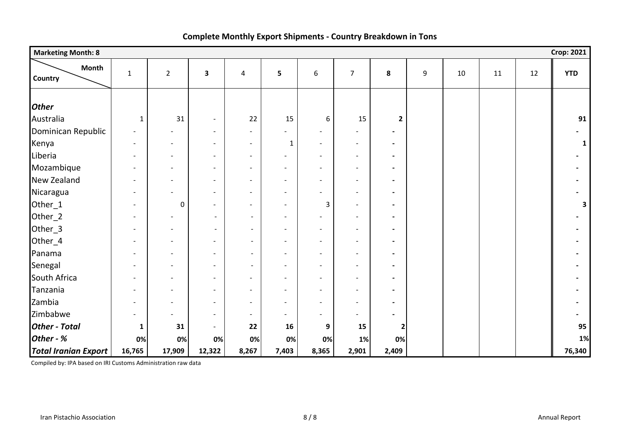| <b>Marketing Month: 8</b>   |                          |                          |                          |                          |                          |                          |                          |                          |   |    |    |    | <b>Crop: 2021</b> |
|-----------------------------|--------------------------|--------------------------|--------------------------|--------------------------|--------------------------|--------------------------|--------------------------|--------------------------|---|----|----|----|-------------------|
| Month<br>Country            | $\mathbf{1}$             | $\overline{2}$           | 3                        | $\overline{4}$           | 5                        | $\boldsymbol{6}$         | $\overline{7}$           | 8                        | 9 | 10 | 11 | 12 | <b>YTD</b>        |
| <b>Other</b>                |                          |                          |                          |                          |                          |                          |                          |                          |   |    |    |    |                   |
| Australia                   | $\mathbf{1}$             | 31                       | $\overline{\phantom{a}}$ | 22                       | 15                       | $\boldsymbol{6}$         | 15                       | $\mathbf{2}$             |   |    |    |    | 91                |
| Dominican Republic          |                          |                          | $\blacksquare$           |                          | $\overline{\phantom{0}}$ |                          | $\overline{\phantom{a}}$ | $\blacksquare$           |   |    |    |    |                   |
| Kenya                       | $\sim$                   |                          | $\overline{\phantom{a}}$ | $\overline{\phantom{a}}$ | $\mathbf{1}$             |                          | $\blacksquare$           | $\blacksquare$           |   |    |    |    | $\mathbf{1}$      |
| Liberia                     | $\blacksquare$           | $\overline{\phantom{a}}$ | $\overline{\phantom{a}}$ | $\overline{\phantom{a}}$ | $\overline{\phantom{a}}$ | $\overline{\phantom{a}}$ | $\overline{\phantom{a}}$ | $\blacksquare$           |   |    |    |    |                   |
| Mozambique                  | $\blacksquare$           |                          | $\overline{\phantom{a}}$ | $\overline{\phantom{a}}$ | $\blacksquare$           | $\overline{\phantom{a}}$ | $\overline{\phantom{a}}$ | $\blacksquare$           |   |    |    |    |                   |
| New Zealand                 |                          | $\overline{\phantom{0}}$ | $\overline{\phantom{a}}$ | $\overline{\phantom{a}}$ | $\blacksquare$           |                          | $\overline{\phantom{a}}$ | $\blacksquare$           |   |    |    |    |                   |
|                             | $\overline{\phantom{0}}$ |                          | $\overline{\phantom{a}}$ | $\overline{\phantom{a}}$ | $\blacksquare$           |                          | $\blacksquare$           | $\blacksquare$           |   |    |    |    |                   |
| Nicaragua<br>Other_1        |                          | $\mathsf 0$              | $\blacksquare$           | $\overline{\phantom{a}}$ | $\blacksquare$           | 3                        | $\blacksquare$           | $\blacksquare$           |   |    |    |    | 3                 |
|                             | $\overline{\phantom{a}}$ |                          | $\overline{\phantom{a}}$ |                          |                          |                          |                          |                          |   |    |    |    |                   |
| Other_2                     |                          |                          |                          | $\overline{\phantom{a}}$ | $\overline{\phantom{a}}$ |                          | $\overline{\phantom{0}}$ | $\blacksquare$           |   |    |    |    |                   |
| Other_3                     |                          |                          | $\overline{a}$           | $\overline{\phantom{a}}$ | $\blacksquare$           |                          | $\overline{\phantom{a}}$ | $\blacksquare$           |   |    |    |    |                   |
| Other_4                     |                          | $\overline{\phantom{a}}$ | $\overline{\phantom{a}}$ | $\overline{\phantom{a}}$ | $\overline{\phantom{a}}$ | $\sim$                   | $\overline{\phantom{a}}$ | $\blacksquare$           |   |    |    |    |                   |
| Panama                      |                          |                          | $\blacksquare$           | $\overline{\phantom{a}}$ | $\blacksquare$           |                          | $\overline{\phantom{a}}$ | $\blacksquare$           |   |    |    |    |                   |
| Senegal                     |                          | $\overline{\phantom{a}}$ | $\overline{\phantom{a}}$ | $\overline{\phantom{a}}$ | $\overline{\phantom{a}}$ | $\overline{\phantom{a}}$ | $\overline{\phantom{a}}$ | $\blacksquare$           |   |    |    |    |                   |
| South Africa                |                          |                          | $\overline{\phantom{a}}$ |                          | $\overline{\phantom{a}}$ |                          | $\overline{\phantom{a}}$ | $\overline{\phantom{a}}$ |   |    |    |    |                   |
| Tanzania                    |                          |                          | $\overline{\phantom{a}}$ | $\blacksquare$           | $\blacksquare$           |                          | $\overline{\phantom{a}}$ | $\overline{\phantom{a}}$ |   |    |    |    |                   |
| Zambia                      |                          |                          | $\overline{\phantom{a}}$ | $\overline{\phantom{a}}$ | $\overline{\phantom{a}}$ |                          | $\overline{\phantom{a}}$ | $\overline{\phantom{a}}$ |   |    |    |    |                   |
| Zimbabwe                    | $\overline{\phantom{a}}$ |                          | $\overline{\phantom{a}}$ | $\overline{\phantom{a}}$ | $\overline{\phantom{a}}$ |                          | $\overline{\phantom{a}}$ | $\blacksquare$           |   |    |    |    |                   |
| <b>Other - Total</b>        | $\mathbf{1}$             | 31                       | $\sim$                   | 22                       | 16                       | 9                        | 15                       |                          |   |    |    |    | 95                |
| Other - %                   | 0%                       | 0%                       | 0%                       | 0%                       | 0%                       | 0%                       | $1\%$                    | 0%                       |   |    |    |    | 1%                |
| <b>Total Iranian Export</b> | 16,765                   | 17,909                   | 12,322                   | 8,267                    | 7,403                    | 8,365                    | 2,901                    | 2,409                    |   |    |    |    | 76,340            |

Compiled by: IPA based on IRI Customs Administration raw data